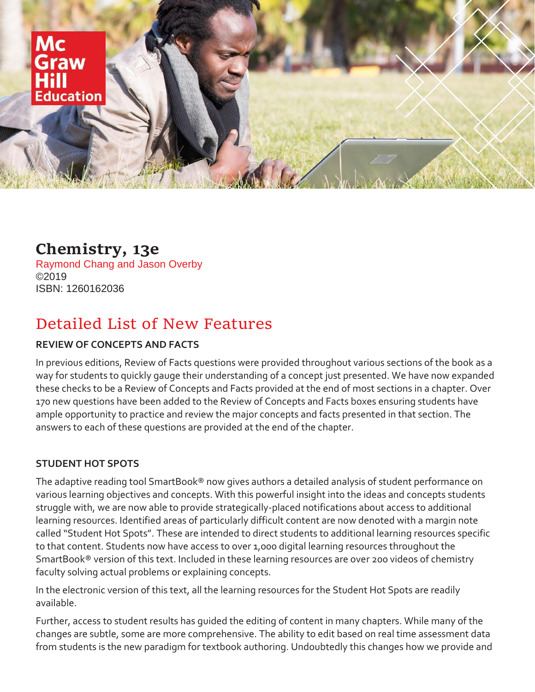

### **Chemistry, 13e**

Raymond Chang and Jason Overby ©2019 ISBN: 1260162036

## Detailed List of New Features

### **REVIEW OF CONCEPTS AND FACTS**

In previous editions, Review of Facts questions were provided throughout various sections of the book as a way for students to quickly gauge their understanding of a concept just presented. We have now expanded these checks to be a Review of Concepts and Facts provided at the end of most sections in a chapter. Over 170 new questions have been added to the Review of Concepts and Facts boxes ensuring students have ample opportunity to practice and review the major concepts and facts presented in that section. The answers to each of these questions are provided at the end of the chapter.

#### **STUDENT HOT SPOTS**

The adaptive reading tool SmartBook® now gives authors a detailed analysis of student performance on various learning objectives and concepts. With this powerful insight into the ideas and concepts students struggle with, we are now able to provide strategically-placed notifications about access to additional learning resources. Identified areas of particularly difficult content are now denoted with a margin note called "Student Hot Spots". These are intended to direct students to additional learning resources specific to that content. Students now have access to over 1,000 digital learning resources throughout the SmartBook® version of this text. Included in these learning resources are over 200 videos of chemistry faculty solving actual problems or explaining concepts.

In the electronic version of this text, all the learning resources for the Student Hot Spots are readily available.

Further, access to student results has guided the editing of content in many chapters. While many of the changes are subtle, some are more comprehensive. The ability to edit based on real time assessment data from students is the new paradigm for textbook authoring. Undoubtedly this changes how we provide and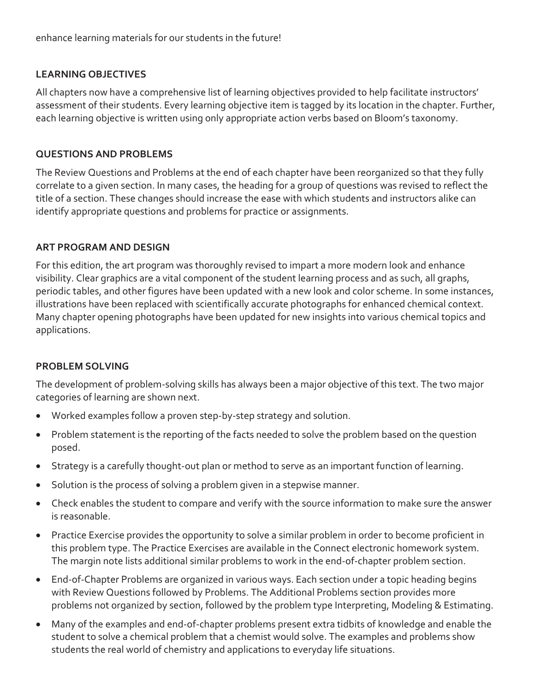#### **LEARNING OBJECTIVES**

All chapters now have a comprehensive list of learning objectives provided to help facilitate instructors' assessment of their students. Every learning objective item is tagged by its location in the chapter. Further, each learning objective is written using only appropriate action verbs based on Bloom's taxonomy.

#### **QUESTIONS AND PROBLEMS**

The Review Questions and Problems at the end of each chapter have been reorganized so that they fully correlate to a given section. In many cases, the heading for a group of questions was revised to reflect the title of a section. These changes should increase the ease with which students and instructors alike can identify appropriate questions and problems for practice or assignments.

#### **ART PROGRAM AND DESIGN**

For this edition, the art program was thoroughly revised to impart a more modern look and enhance visibility. Clear graphics are a vital component of the student learning process and as such, all graphs, periodic tables, and other figures have been updated with a new look and color scheme. In some instances, illustrations have been replaced with scientifically accurate photographs for enhanced chemical context. Many chapter opening photographs have been updated for new insights into various chemical topics and applications.

#### **PROBLEM SOLVING**

The development of problem-solving skills has always been a major objective of this text. The two major categories of learning are shown next.

- Worked examples follow a proven step-by-step strategy and solution.
- Problem statement is the reporting of the facts needed to solve the problem based on the question posed.
- Strategy is a carefully thought-out plan or method to serve as an important function of learning.
- Solution is the process of solving a problem given in a stepwise manner.
- Check enables the student to compare and verify with the source information to make sure the answer is reasonable.
- Practice Exercise provides the opportunity to solve a similar problem in order to become proficient in this problem type. The Practice Exercises are available in the Connect electronic homework system. The margin note lists additional similar problems to work in the end-of-chapter problem section.
- End-of-Chapter Problems are organized in various ways. Each section under a topic heading begins with Review Questions followed by Problems. The Additional Problems section provides more problems not organized by section, followed by the problem type Interpreting, Modeling & Estimating.
- Many of the examples and end-of-chapter problems present extra tidbits of knowledge and enable the student to solve a chemical problem that a chemist would solve. The examples and problems show students the real world of chemistry and applications to everyday life situations.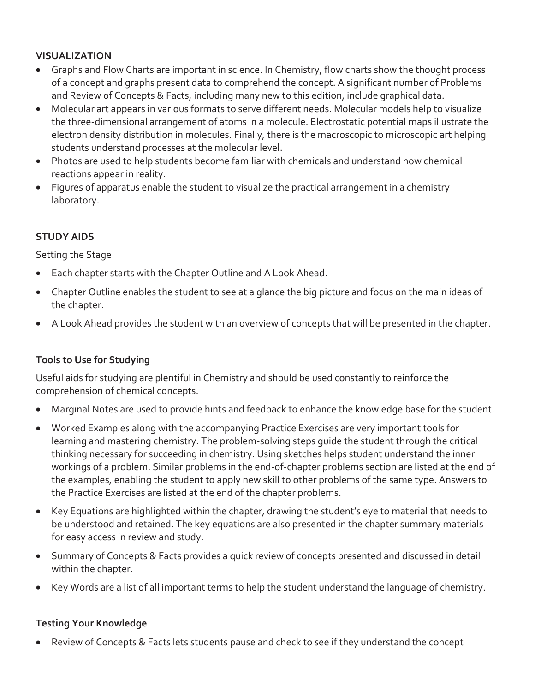#### **VISUALIZATION**

- Graphs and Flow Charts are important in science. In Chemistry, flow charts show the thought process of a concept and graphs present data to comprehend the concept. A significant number of Problems and Review of Concepts & Facts, including many new to this edition, include graphical data.
- Molecular art appears in various formats to serve different needs. Molecular models help to visualize the three-dimensional arrangement of atoms in a molecule. Electrostatic potential maps illustrate the electron density distribution in molecules. Finally, there is the macroscopic to microscopic art helping students understand processes at the molecular level.
- Photos are used to help students become familiar with chemicals and understand how chemical reactions appear in reality.
- Figures of apparatus enable the student to visualize the practical arrangement in a chemistry laboratory.

#### **STUDY AIDS**

Setting the Stage

- Each chapter starts with the Chapter Outline and A Look Ahead.
- Chapter Outline enables the student to see at a glance the big picture and focus on the main ideas of the chapter.
- A Look Ahead provides the student with an overview of concepts that will be presented in the chapter.

#### **Tools to Use for Studying**

Useful aids for studying are plentiful in Chemistry and should be used constantly to reinforce the comprehension of chemical concepts.

- Marginal Notes are used to provide hints and feedback to enhance the knowledge base for the student.
- Worked Examples along with the accompanying Practice Exercises are very important tools for learning and mastering chemistry. The problem-solving steps guide the student through the critical thinking necessary for succeeding in chemistry. Using sketches helps student understand the inner workings of a problem. Similar problems in the end-of-chapter problems section are listed at the end of the examples, enabling the student to apply new skill to other problems of the same type. Answers to the Practice Exercises are listed at the end of the chapter problems.
- Key Equations are highlighted within the chapter, drawing the student's eye to material that needs to be understood and retained. The key equations are also presented in the chapter summary materials for easy access in review and study.
- Summary of Concepts & Facts provides a quick review of concepts presented and discussed in detail within the chapter.
- Key Words are a list of all important terms to help the student understand the language of chemistry.

#### **Testing Your Knowledge**

• Review of Concepts & Facts lets students pause and check to see if they understand the concept